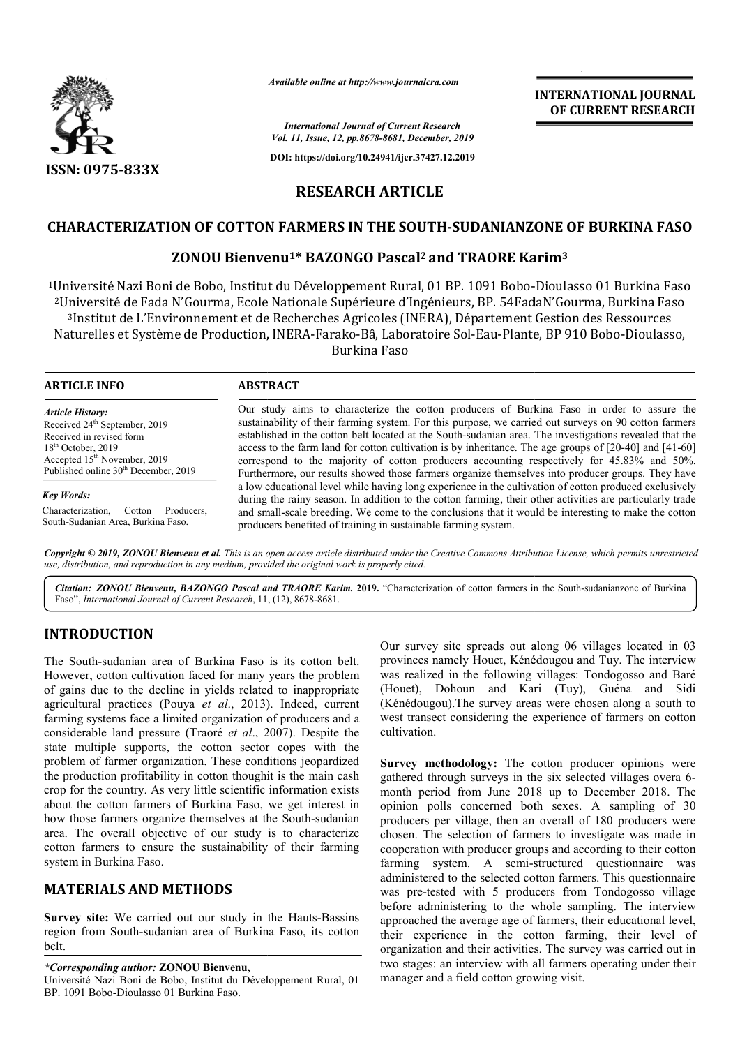

*Available online at http://www.journalcra.com*

*International Journal of Current Research Vol. 11, Issue, 12, pp.8678-8681, December, 2019*

**DOI: https://doi.org/10.24941/ijcr.37427.12.2019**

# **INTERNATIONAL JOURNAL OF CURRENT RESEARCH**

**RESEARCH ARTICLE**

# **CHARACTERIZATION OF COTTON FARMERS IN THE SOUTH SOUTH-SUDANIANZONE OF BURKINA FASO SUDANIANZONE**

# **ZONOU Bienvenu Bienvenu1\* BAZONGO Pascal2 and TRAORE Karim and TRAORE Karim3**

<sup>1</sup>Université Nazi Boni de Bobo, Institut du Développement Rural, 01 BP. 1091 Bobo-Dioulasso 01 Burkina Faso 2Université de Fada N'Gourma, Ecole Nationale Supérieure d'Ingénieurs, BP. 54FadaN'Gourma, Burkina Faso Université de Fada N'Gourma, Ecole Nationale Supérieure d'Ingénieurs, BP. 54FadaN'Gourma, Burkina Faso<br>3Institut de L'Environnement et de Recherches Agricoles (INERA), Département Gestion des Ressources<br>Jaturelles et Systè Naturelles et Système de Production, INERA-Farako-Bâ, Laboratoire Sol-Eau-Plante, BP 910 Bobo Burkina Faso

**ARTICLE INFO ABSTRACT** Our study aims to characterize the cotton producers of Burkina Faso in order to assure the sustainability of their farming system. For this purpose, we carried out surveys on 90 cotton farmers established in the cotton belt located at the South South-sudanian area. The investigations revealed that the Our study aims to characterize the cotton producers of Burkina Faso in order to assure the sustainability of their farming system. For this purpose, we carried out surveys on 90 cotton farmers established in the cotton bel correspond to the majority of cotton producers accounting respectively for 45.83% and 50%. Furthermore, our results showed those farmers organize themselves into producer groups. They have a low educational level while having long experience in the cultivation of cotton produced exclusively during the rainy season. In addition to the cotton farming, their other activities are particularly trade and small-scale breeding. We come to the conclusions that it would be interesting to make the cotton producers benefited of training in sustainable farming system. *Article History:* Received 24<sup>th</sup> September, 2019 Received in revised form 18<sup>th</sup> October, 2019 Accepted 15<sup>th</sup> November, 2019 Published online 30<sup>th</sup> December, 2019 *Key Words:* Characterization, Cotton Producers, South-Sudanian Area, Burkina Faso. correspond to the majority of cotton producers accounting respectively for 45.83% and 50%.<br>Furthermore, our results showed those farmers organize themselves into producer groups. They have a low educational level while hav

Copyright © 2019, ZONOU Bienvenu et al. This is an open access article distributed under the Creative Commons Attribution License, which permits unrestrictea *use, distribution, and reproduction in any medium, provided the original work is properly cited.*

Citation: ZONOU Bienvenu, BAZONGO Pascal and TRAORE Karim. 2019. "Characterization of cotton farmers in the South-sudanianzone of Burkina Faso", *International Journal of Current Research*, 11 1, (12), 8678-8681.

# **INTRODUCTION**

The South-sudanian area of Burkina Faso is its cotton belt. However, cotton cultivation faced for many years the problem of gains due to the decline in yields related to inappropriate agricultural practices (Pouya *et al*., 2013). Indeed, current farming systems face a limited organization of producers and a considerable land pressure (Traoré *et al*., 2007). Despite the state multiple supports, the cotton sector copes with the problem of farmer organization. These conditions jeopardized the production profitability in cotton thoughit is the main cash crop for the country. As very little scientific information exists about the cotton farmers of Burkina Faso, we get interest in how those farmers organize themselves at the South-sudanian area. The overall objective of our study is to characterize cotton farmers to ensure the sustainability of their farming system in Burkina Faso. area. The overall objective of our study is to characterize<br>cotton farmers to ensure the sustainability of their farming<br>system in Burkina Faso.<br>**MATERIALS AND METHODS**<br>Survey site: We carried out our study in the Hauts-Ba tems face a limited organization of producers and a<br>e land pressure (Traoré *et al.*, 2007). Despite the<br>ple supports, the cotton sector copes with the<br>farmer organization. These conditions jeopardized<br>ion profitability in

## **MATERIALS AND METHODS**

region from South-sudanian area of Burkina Faso, its cotton belt.

*\*Corresponding author:* **ZONOU Bienvenu,**

Université Nazi Boni de Bobo, Institut du Développement Rural, 01 BP. 1091 Bobo-Dioulasso 01 Burkina Faso.

Our survey site spreads out along 06 villages located in 03 provinces namely Houet, Kénédougou and Tuy. The interview was realized in the following villages: Tondogosso and Baré (Houet), Dohoun and Kari (Tuy), Guéna and Sidi (Kénédougou).The survey areas were chosen along a south to west transect considering the experience of farmers on cotton cultivation. Our survey site spreads out along 06 villages located in 03 provinces namely Houet, Kénédougou and Tuy. The interview was realized in the following villages: Tondogosso and Baré (Houet), Dohoun and Kari (Tuy), Guéna and Si

Survey methodology: The cotton producer opinions were Survey methodology: The cotton producer opinions were gathered through surveys in the six selected villages overa 6month period from June 2018 up to December 2018. The opinion polls concerned both sexes. A sampling of 30 producers per village, then an overall of 180 producers were chosen. The selection of farmers to investigate was made in cooperation with producer groups and according to their cotton farming system. A semi-structured questionnaire was administered to the selected cotton farmers. This questionnaire was pre-tested with 5 producers from Tondogosso village before administering to the whole sampling. The interview approached the average age of farmers, their educational level, was pre-tested with 5 producers from Tondogosso village<br>before administering to the whole sampling. The interview<br>approached the average age of farmers, their educational level,<br>their experience in the cotton farming, thei organization and their activities. The survey was carried out in organization and their activities. The survey was carried out in<br>two stages: an interview with all farmers operating under their manager and a field cotton growing visit. beriod from June 2018 up to December 2018. The polls concerned both sexes. A sampling of 30 s per village, then an overall of 180 producers were The selection of farmers to investigate was made in ion with producer groups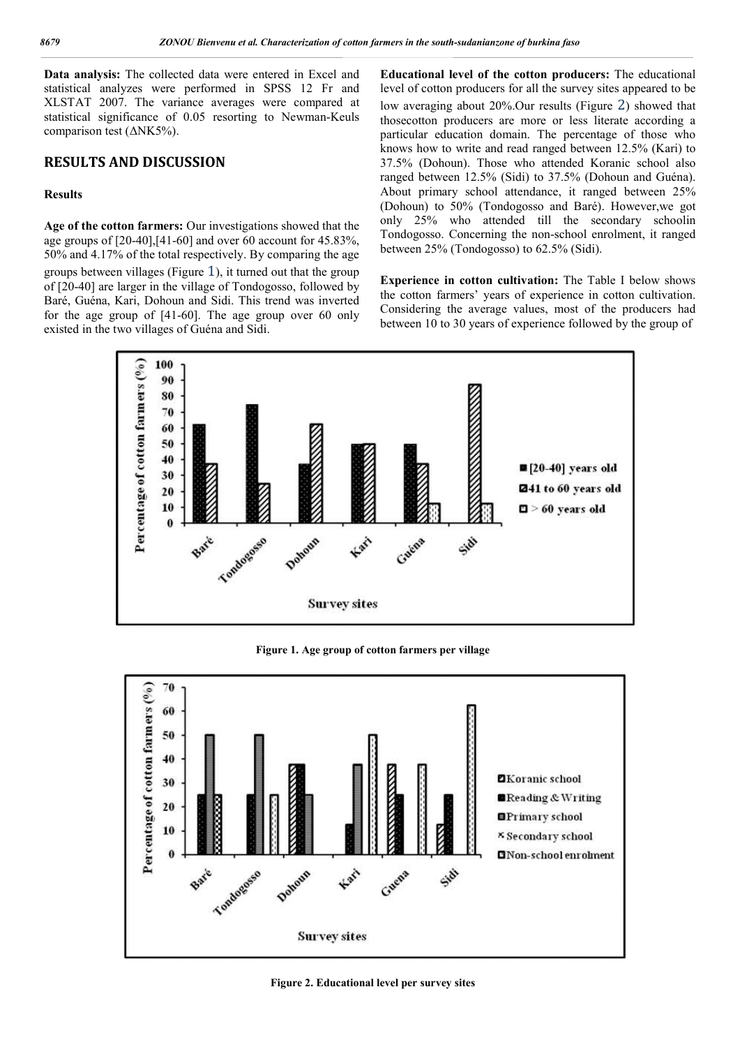**Data analysis:** The collected data were entered in Excel and statistical analyzes were performed in SPSS 12 Fr and XLSTAT 2007. The variance averages were compared at statistical significance of 0.05 resorting to Newman-Keuls comparison test  $(\Delta$ NK5%).

## **RESULTS AND DISCUSSION**

#### **Results**

**Age of the cotton farmers:** Our investigations showed that the age groups of [20-40],[41-60] and over 60 account for 45.83%, 50% and 4.17% of the total respectively. By comparing the age groups between villages (Figure 1), it turned out that the group of [20-40] are larger in the village of Tondogosso, followed by Baré, Guéna, Kari, Dohoun and Sidi. This trend was inverted for the age group of [41-60]. The age group over 60 only existed in the two villages of Guéna and Sidi.

**Educational level of the cotton producers:** The educational level of cotton producers for all the survey sites appeared to be low averaging about 20%.Our results (Figure 2) showed that thosecotton producers are more or less literate according a particular education domain. The percentage of those who knows how to write and read ranged between 12.5% (Kari) to 37.5% (Dohoun). Those who attended Koranic school also ranged between 12.5% (Sidi) to 37.5% (Dohoun and Guéna). About primary school attendance, it ranged between 25% (Dohoun) to 50% (Tondogosso and Baré). However,we got only 25% who attended till the secondary schoolin Tondogosso. Concerning the non-school enrolment, it ranged between 25% (Tondogosso) to 62.5% (Sidi).

**Experience in cotton cultivation:** The Table I below shows the cotton farmers' years of experience in cotton cultivation. Considering the average values, most of the producers had between 10 to 30 years of experience followed by the group of



**Figure 1. Age group of cotton farmers per village**



**Figure 2. Educational level per survey sites**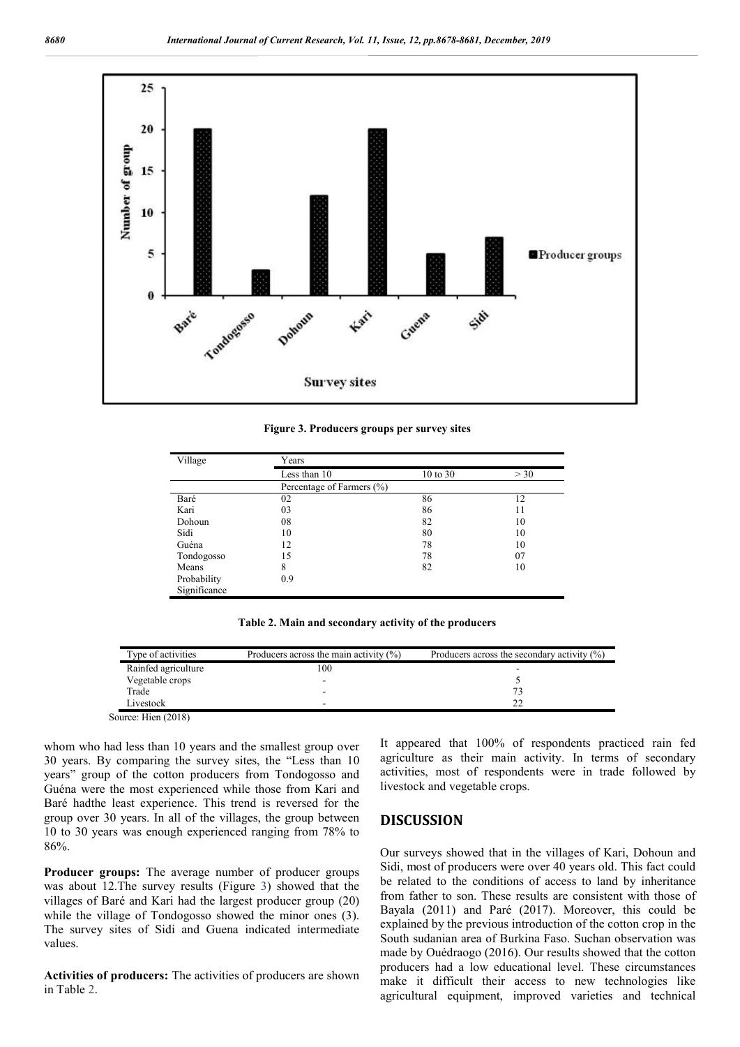

**Figure 3. Producers groups per survey sites**

| Village      | Years                     |          |     |  |
|--------------|---------------------------|----------|-----|--|
|              | Less than 10              | 10 to 30 | >30 |  |
|              | Percentage of Farmers (%) |          |     |  |
| Baré         | 02                        | 86       | 12  |  |
| Kari         | 03                        | 86       | 11  |  |
| Dohoun       | 08                        | 82       | 10  |  |
| Sidi         | 10                        | 80       | 10  |  |
| Guéna        | 12                        | 78       | 10  |  |
| Tondogosso   | 15                        | 78       | 07  |  |
| Means        | 8                         | 82       | 10  |  |
| Probability  | 0.9                       |          |     |  |
| Significance |                           |          |     |  |

**Table 2. Main and secondary activity of the producers**

| Type of activities  | Producers across the main activity $(\%)$ | Producers across the secondary activity $(\%)$ |
|---------------------|-------------------------------------------|------------------------------------------------|
| Rainfed agriculture | 100                                       |                                                |
| Vegetable crops     |                                           |                                                |
| Trade               | -                                         |                                                |
| Livestock           | -                                         |                                                |

Source: Hien (2018)

whom who had less than 10 years and the smallest group over 30 years. By comparing the survey sites, the "Less than 10 years" group of the cotton producers from Tondogosso and Guéna were the most experienced while those from Kari and Baré hadthe least experience. This trend is reversed for the group over 30 years. In all of the villages, the group between 10 to 30 years was enough experienced ranging from 78% to 86%.

**Producer groups:** The average number of producer groups was about 12.The survey results (Figure 3) showed that the villages of Baré and Kari had the largest producer group (20) while the village of Tondogosso showed the minor ones (3). The survey sites of Sidi and Guena indicated intermediate values.

**Activities of producers:** The activities of producers are shown in Table 2.

It appeared that 100% of respondents practiced rain fed agriculture as their main activity. In terms of secondary activities, most of respondents were in trade followed by livestock and vegetable crops.

### **DISCUSSION**

Our surveys showed that in the villages of Kari, Dohoun and Sidi, most of producers were over 40 years old. This fact could be related to the conditions of access to land by inheritance from father to son. These results are consistent with those of Bayala (2011) and Paré (2017). Moreover, this could be explained by the previous introduction of the cotton crop in the South sudanian area of Burkina Faso. Suchan observation was made by Ouédraogo (2016). Our results showed that the cotton producers had a low educational level. These circumstances make it difficult their access to new technologies like agricultural equipment, improved varieties and technical